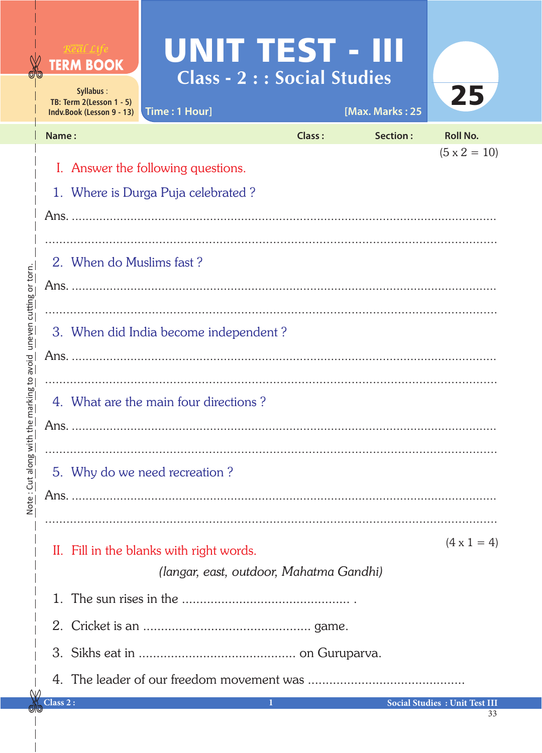## **UNIT TEST - III**<br>Class - 2 : : Social Studies



| TB: Term $2$ (Lesson 1 - 5)<br>Time: 1 Hour]<br>Indv.Book (Lesson 9 - 13) |               | [Max. Marks: 25 | ZD,                                   |
|---------------------------------------------------------------------------|---------------|-----------------|---------------------------------------|
| Name:                                                                     | <b>Class:</b> | Section:        | <b>Roll No.</b>                       |
| I. Answer the following questions.<br>1. Where is Durga Puja celebrated?  |               |                 | $(5 \times 2 = 10)$                   |
|                                                                           |               |                 |                                       |
| 2. When do Muslims fast?                                                  |               |                 |                                       |
| 3. When did India become independent?                                     |               |                 |                                       |
|                                                                           |               |                 |                                       |
| 4. What are the main four directions?                                     |               |                 |                                       |
|                                                                           |               |                 |                                       |
| 5. Why do we need recreation?                                             |               |                 |                                       |
|                                                                           |               |                 |                                       |
|                                                                           |               |                 |                                       |
| II. Fill in the blanks with right words.                                  |               |                 | $(4 \times 1 = 4)$                    |
| (langar, east, outdoor, Mahatma Gandhi)                                   |               |                 |                                       |
|                                                                           |               |                 |                                       |
|                                                                           |               |                 |                                       |
|                                                                           |               |                 |                                       |
|                                                                           |               |                 |                                       |
| Class 2:                                                                  |               |                 | <b>Social Studies : Unit Test III</b> |

Ν

**TERM BOOK** 

Syllabus: